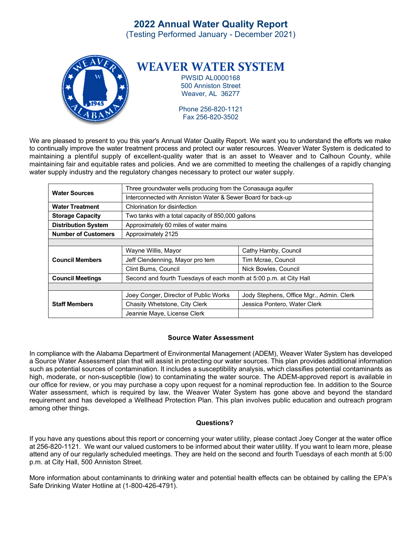# **2022 Annual Water Quality Report**

(Testing Performed January - December 2021)



We are pleased to present to you this year's Annual Water Quality Report. We want you to understand the efforts we make to continually improve the water treatment process and protect our water resources. Weaver Water System is dedicated to maintaining a plentiful supply of excellent-quality water that is an asset to Weaver and to Calhoun County, while maintaining fair and equitable rates and policies. And we are committed to meeting the challenges of a rapidly changing water supply industry and the regulatory changes necessary to protect our water supply.

|                            | Three groundwater wells producing from the Conasauga aquifer       |                                          |  |  |  |  |  |
|----------------------------|--------------------------------------------------------------------|------------------------------------------|--|--|--|--|--|
| <b>Water Sources</b>       |                                                                    |                                          |  |  |  |  |  |
|                            | Interconnected with Anniston Water & Sewer Board for back-up       |                                          |  |  |  |  |  |
| <b>Water Treatment</b>     | Chlorination for disinfection                                      |                                          |  |  |  |  |  |
| <b>Storage Capacity</b>    | Two tanks with a total capacity of 850,000 gallons                 |                                          |  |  |  |  |  |
| <b>Distribution System</b> | Approximately 60 miles of water mains                              |                                          |  |  |  |  |  |
| <b>Number of Customers</b> | Approximately 2125                                                 |                                          |  |  |  |  |  |
|                            |                                                                    |                                          |  |  |  |  |  |
| <b>Council Members</b>     | Wayne Willis, Mayor                                                | Cathy Hamby, Council                     |  |  |  |  |  |
|                            | Jeff Clendenning, Mayor pro tem                                    | Tim Mcrae, Council                       |  |  |  |  |  |
|                            | Clint Burns, Council                                               | Nick Bowles, Council                     |  |  |  |  |  |
| <b>Council Meetings</b>    | Second and fourth Tuesdays of each month at 5:00 p.m. at City Hall |                                          |  |  |  |  |  |
|                            |                                                                    |                                          |  |  |  |  |  |
| <b>Staff Members</b>       | Joey Conger, Director of Public Works                              | Jody Stephens, Office Mgr., Admin. Clerk |  |  |  |  |  |
|                            | Chasity Whetstone, City Clerk                                      | Jessica Pontero, Water Clerk             |  |  |  |  |  |
|                            | Jeannie Maye, License Clerk                                        |                                          |  |  |  |  |  |

## **Source Water Assessment**

In compliance with the Alabama Department of Environmental Management (ADEM), Weaver Water System has developed a Source Water Assessment plan that will assist in protecting our water sources. This plan provides additional information such as potential sources of contamination. It includes a susceptibility analysis, which classifies potential contaminants as high, moderate, or non-susceptible (low) to contaminating the water source. The ADEM-approved report is available in our office for review, or you may purchase a copy upon request for a nominal reproduction fee. In addition to the Source Water assessment, which is required by law, the Weaver Water System has gone above and beyond the standard requirement and has developed a Wellhead Protection Plan. This plan involves public education and outreach program among other things.

# **Questions?**

If you have any questions about this report or concerning your water utility, please contact Joey Conger at the water office at 256-820-1121. We want our valued customers to be informed about their water utility. If you want to learn more, please attend any of our regularly scheduled meetings. They are held on the second and fourth Tuesdays of each month at 5:00 p.m. at City Hall, 500 Anniston Street.

More information about contaminants to drinking water and potential health effects can be obtained by calling the EPA's Safe Drinking Water Hotline at (1-800-426-4791).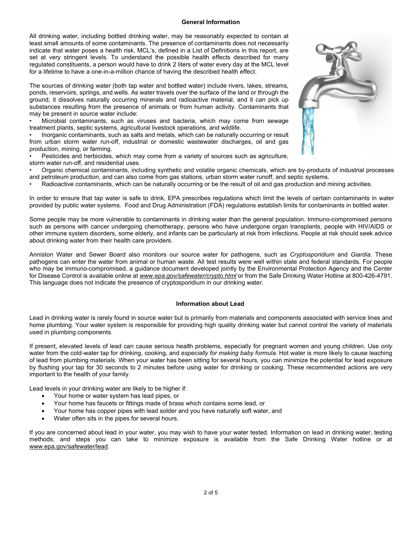#### **General Information**

All drinking water, including bottled drinking water, may be reasonably expected to contain at least small amounts of some contaminants. The presence of contaminants does not necessarily indicate that water poses a health risk. MCL's, defined in a List of Definitions in this report, are set at very stringent levels. To understand the possible health effects described for many regulated constituents, a person would have to drink 2 liters of water every day at the MCL level for a lifetime to have a one-in-a-million chance of having the described health effect.

The sources of drinking water (both tap water and bottled water) include rivers, lakes, streams, ponds, reservoirs, springs, and wells. As water travels over the surface of the land or through the ground, it dissolves naturally occurring minerals and radioactive material, and it can pick up substances resulting from the presence of animals or from human activity. Contaminants that may be present in source water include:

• Microbial contaminants, such as viruses and bacteria, which may come from sewage treatment plants, septic systems, agricultural livestock operations, and wildlife.

• Inorganic contaminants, such as salts and metals, which can be naturally occurring or result from urban storm water run-off, industrial or domestic wastewater discharges, oil and gas production, mining, or farming.

• Pesticides and herbicides, which may come from a variety of sources such as agriculture, storm water run-off, and residential uses.

• Organic chemical contaminants, including synthetic and volatile organic chemicals, which are by-products of industrial processes and petroleum production, and can also come from gas stations, urban storm water runoff, and septic systems.

• Radioactive contaminants, which can be naturally occurring or be the result of oil and gas production and mining activities.

In order to ensure that tap water is safe to drink, EPA prescribes regulations which limit the levels of certain contaminants in water provided by public water systems. Food and Drug Administration (FDA) regulations establish limits for contaminants in bottled water.

Some people may be more vulnerable to contaminants in drinking water than the general population. Immuno-compromised persons such as persons with cancer undergoing chemotherapy, persons who have undergone organ transplants, people with HIV/AIDS or other immune system disorders, some elderly, and infants can be particularly at risk from infections. People at risk should seek advice about drinking water from their health care providers.

Anniston Water and Sewer Board also monitors our source water for pathogens, such as *Cryptosporidium* and *Giardia*. These pathogens can enter the water from animal or human waste. All test results were well within state and federal standards. For people who may be immuno-compromised, a guidance document developed jointly by the Environmental Protection Agency and the Center for Disease Control is available online at *www.epa.gov/safewater/crypto.html* or from the Safe Drinking Water Hotline at 800-426-4791. This language does not indicate the presence of cryptosporidium in our drinking water.

#### **Information about Lead**

Lead in drinking water is rarely found in source water but is primarily from materials and components associated with service lines and home plumbing. Your water system is responsible for providing high quality drinking water but cannot control the variety of materials used in plumbing components.

If present, elevated levels of lead can cause serious health problems, especially for pregnant women and young children. Use *only*  water from the cold-water tap for drinking, cooking, and *especially for making baby formula*. Hot water is more likely to cause leaching of lead from plumbing materials. When your water has been sitting for several hours, you can minimize the potential for lead exposure by flushing your tap for 30 seconds to 2 minutes before using water for drinking or cooking. These recommended actions are very important to the health of your family.

Lead levels in your drinking water are likely to be higher if:

- Your home or water system has lead pipes, or
- Your home has faucets or fittings made of brass which contains some lead, or
- Your home has copper pipes with lead solder and you have naturally soft water, and
- Water often sits in the pipes for several hours.

If you are concerned about lead in your water, you may wish to have your water tested. Information on lead in drinking water, testing methods, and steps you can take to minimize exposure is available from the Safe Drinking Water hotline or at www.epa.gov/safewater/lead.

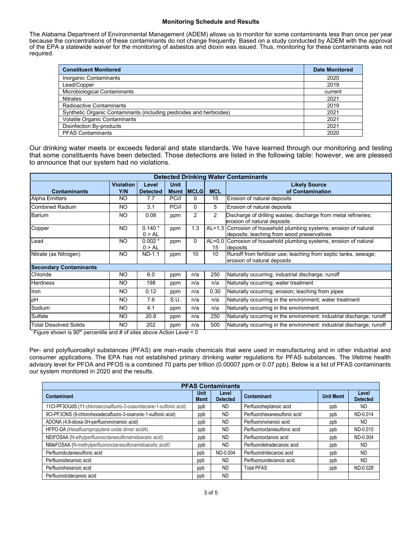#### **Monitoring Schedule and Results**

The Alabama Department of Environmental Management (ADEM) allows us to monitor for some contaminants less than once per year because the concentrations of these contaminants do not change frequently. Based on a study conducted by ADEM with the approval of the EPA a statewide waiver for the monitoring of asbestos and dioxin was issued. Thus, monitoring for these contaminants was not required.

| <b>Constituent Monitored</b>                                         | <b>Date Monitored</b> |  |
|----------------------------------------------------------------------|-----------------------|--|
| Inorganic Contaminants                                               | 2020                  |  |
| Lead/Copper                                                          | 2019                  |  |
| Microbiological Contaminants                                         | current               |  |
| <b>Nitrates</b>                                                      | 2021                  |  |
| Radioactive Contaminants                                             | 2019                  |  |
| Synthetic Organic Contaminants (including pesticides and herbicides) | 2021                  |  |
| Volatile Organic Contaminants                                        | 2021                  |  |
| Disinfection By-products                                             | 2021                  |  |
| <b>PFAS Contaminants</b>                                             | 2020                  |  |

Our drinking water meets or exceeds federal and state standards. We have learned through our monitoring and testing that some constituents have been detected. Those detections are listed in the following table: however, we are pleased to announce that our system had no violations.

| <b>Detected Drinking Water Contaminants</b> |                  |                    |             |                |                |                                                                                                                  |  |  |
|---------------------------------------------|------------------|--------------------|-------------|----------------|----------------|------------------------------------------------------------------------------------------------------------------|--|--|
|                                             | <b>Violation</b> | Level              | <b>Unit</b> |                |                | <b>Likely Source</b>                                                                                             |  |  |
| <b>Contaminants</b>                         | Y/N              | <b>Detected</b>    | <b>Msmt</b> | <b>IMCLG</b>   | <b>MCL</b>     | of Contamination                                                                                                 |  |  |
| <b>Alpha Emitters</b>                       | NO.              | 7.7                | PCi/I       | 0              | 15             | Erosion of natural deposits                                                                                      |  |  |
| Combined Radium                             | NO.              | 3.1                | PCi/I       | $\Omega$       | 5              | Erosion of natural deposits                                                                                      |  |  |
| Barium                                      | NO.              | 0.08               | ppm         | $\overline{2}$ | $\overline{c}$ | Discharge of drilling wastes; discharge from metal refineries;<br>erosion of natural deposits                    |  |  |
| Copper                                      | NO.              | $0.140*$<br>0 > AL | ppm         | 1.3            |                | AL=1.3 Corrosion of household plumbing systems; erosion of natural<br>deposits; leaching from wood preservatives |  |  |
| Lead                                        | NO.              | $0.002*$<br>0 > AL | ppm         | $\Omega$       | $AL=0.0$<br>15 | Corrosion of household plumbing systems, erosion of natural<br>deposits                                          |  |  |
| Nitrate (as Nitrogen)                       | <b>NO</b>        | ND-1.1             | ppm         | 10             | 10             | Runoff from fertilizer use; leaching from septic tanks, sewage;<br>erosion of natural deposits                   |  |  |
| <b>Secondary Contaminants</b>               |                  |                    |             |                |                |                                                                                                                  |  |  |
| Chloride                                    | NO.              | 6.0                | ppm         | n/a            | 250            | Naturally occurring; industrial discharge; runoff                                                                |  |  |
| <b>Hardness</b>                             | NO.              | 198                | ppm         | n/a            | n/a            | Naturally occurring; water treatment                                                                             |  |  |
| Iron                                        | NO.              | 0.12               | ppm         | n/a            | 0.30           | Naturally occurring; erosion; leaching from pipes                                                                |  |  |
| pH                                          | NO.              | 7.6                | S.U.        | n/a            | n/a            | Naturally occurring in the environment; water treatment                                                          |  |  |
| Sodium                                      | NO.              | 4.1                | ppm         | n/a            | n/a            | Naturally occurring in the environment                                                                           |  |  |
| Sulfate                                     | NO.              | 20.8               | ppm         | n/a            | 250            | Naturally occurring in the environment: industrial discharge; runoff                                             |  |  |
| <b>Total Dissolved Solids</b>               | NO.              | 202                | ppm         | n/a            | 500            | Naturally occurring in the environment: industrial discharge; runoff                                             |  |  |

Figure shown is  $90<sup>th</sup>$  percentile and # of sites above Action Level = 0

Per- and polyfluoroalkyl substances (PFAS) are man-made chemicals that were used in manufacturing and in other industrial and consumer applications. The EPA has not established primary drinking water regulations for PFAS substances. The lifetime health advisory level for PFOA and PFOS is a combined 70 parts per trillion (0.00007 ppm or 0.07 ppb). Below is a list of PFAS contaminants our system monitored in 2020 and the results.

| <b>PFAS Contaminants</b>                                           |                     |                          |                              |                  |                          |  |  |
|--------------------------------------------------------------------|---------------------|--------------------------|------------------------------|------------------|--------------------------|--|--|
| Contaminant                                                        | <b>Unit</b><br>Msmt | Level<br><b>Detected</b> | Contaminant                  | <b>Unit Msmt</b> | Level<br><b>Detected</b> |  |  |
| 11CI-PF3OUdS (11-chloroeicosafluoro-3-oxaundecane-1-sulfonic acid) | ppb                 | <b>ND</b>                | Perfluoroheptanoic acid      | ppb              | <b>ND</b>                |  |  |
| 9CI-PF3ONS (9-chlorohexadecafluoro-3-oxanone-1-sulfonic acid)      | ppb                 | <b>ND</b>                | Perfluorohexanesulfonic acid | ppb              | ND-0.014                 |  |  |
| ADONA (4,8-dioxa-3H-perfluorononanoic acid)                        | ppb                 | <b>ND</b>                | Perfluorononanoic acid       | ppb              | <b>ND</b>                |  |  |
| HFPO-DA (Hexafluoropropylene oxide dimer acidA)                    | ppb                 | <b>ND</b>                | Perfluorooctanesulfonic acid | ppb              | ND-0.015                 |  |  |
| NEtFOSAA (N-ethylperfluorooctanesulfonamidoacetic acid)            | ppb                 | <b>ND</b>                | Perfluorooctanoic acid       | ppb              | ND-0.004                 |  |  |
| NMeFOSAA (N-methylperfluorooctanesulfonamidoacetic acid0           | ppb                 | <b>ND</b>                | Perfluorotetradecanoic acid  | ppb              | <b>ND</b>                |  |  |
| Perfluorobutanesulfonic acid                                       | ppb                 | ND-0.004                 | Perfluorotridecanoic acid    | ppb              | <b>ND</b>                |  |  |
| Perfluorodecanoic acid                                             | ppb                 | <b>ND</b>                | Perfluoroundecanoic acid     | ppb              | <b>ND</b>                |  |  |
| Perfluorohexanoic acid                                             | ppb                 | <b>ND</b>                | <b>Total PFAS</b>            | ppb              | ND-0.028                 |  |  |
| Perfluorododecanoic acid                                           | ppb                 | <b>ND</b>                |                              |                  |                          |  |  |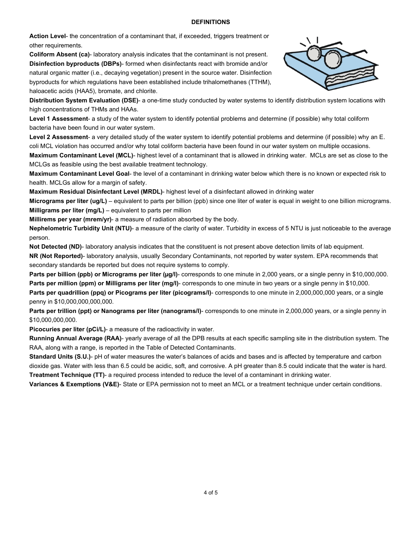### **DEFINITIONS**

**Action Level**- the concentration of a contaminant that, if exceeded, triggers treatment or other requirements.

**Coliform Absent (ca)**- laboratory analysis indicates that the contaminant is not present. **Disinfection byproducts (DBPs)**- formed when disinfectants react with bromide and/or natural organic matter (i.e., decaying vegetation) present in the source water. Disinfection byproducts for which regulations have been established include trihalomethanes (TTHM), haloacetic acids (HAA5), bromate, and chlorite.



**Distribution System Evaluation (DSE)**- a one-time study conducted by water systems to identify distribution system locations with high concentrations of THMs and HAAs.

**Level 1 Assessment**- a study of the water system to identify potential problems and determine (if possible) why total coliform bacteria have been found in our water system.

**Level 2 Assessment**- a very detailed study of the water system to identify potential problems and determine (if possible) why an E. coli MCL violation has occurred and/or why total coliform bacteria have been found in our water system on multiple occasions.

**Maximum Contaminant Level (MCL)**- highest level of a contaminant that is allowed in drinking water. MCLs are set as close to the MCLGs as feasible using the best available treatment technology.

**Maximum Contaminant Level Goal**- the level of a contaminant in drinking water below which there is no known or expected risk to health. MCLGs allow for a margin of safety.

**Maximum Residual Disinfectant Level (MRDL)**- highest level of a disinfectant allowed in drinking water

**Micrograms per liter (ug/L)** – equivalent to parts per billion (ppb) since one liter of water is equal in weight to one billion micrograms. **Milligrams per liter (mg/L)** – equivalent to parts per million

**Millirems per year (mrem/yr)**- a measure of radiation absorbed by the body.

**Nephelometric Turbidity Unit (NTU)**- a measure of the clarity of water. Turbidity in excess of 5 NTU is just noticeable to the average person.

**Not Detected (ND)**- laboratory analysis indicates that the constituent is not present above detection limits of lab equipment. **NR (Not Reported)**- laboratory analysis, usually Secondary Contaminants, not reported by water system. EPA recommends that secondary standards be reported but does not require systems to comply.

**Parts per billion (ppb) or Micrograms per liter (µg/l)**- corresponds to one minute in 2,000 years, or a single penny in \$10,000,000. **Parts per million (ppm) or Milligrams per liter (mg/l)**- corresponds to one minute in two years or a single penny in \$10,000.

**Parts per quadrillion (ppq) or Picograms per liter (picograms/l)**- corresponds to one minute in 2,000,000,000 years, or a single penny in \$10,000,000,000,000.

**Parts per trillion (ppt) or Nanograms per liter (nanograms/l)**- corresponds to one minute in 2,000,000 years, or a single penny in \$10,000,000,000.

**Picocuries per liter (pCi/L)**- a measure of the radioactivity in water.

**Running Annual Average (RAA)**- yearly average of all the DPB results at each specific sampling site in the distribution system. The RAA, along with a range, is reported in the Table of Detected Contaminants.

**Standard Units (S.U.)**- pH of water measures the water's balances of acids and bases and is affected by temperature and carbon dioxide gas. Water with less than 6.5 could be acidic, soft, and corrosive. A pH greater than 8.5 could indicate that the water is hard. **Treatment Technique (TT)**- a required process intended to reduce the level of a contaminant in drinking water.

**Variances & Exemptions (V&E)**- State or EPA permission not to meet an MCL or a treatment technique under certain conditions.